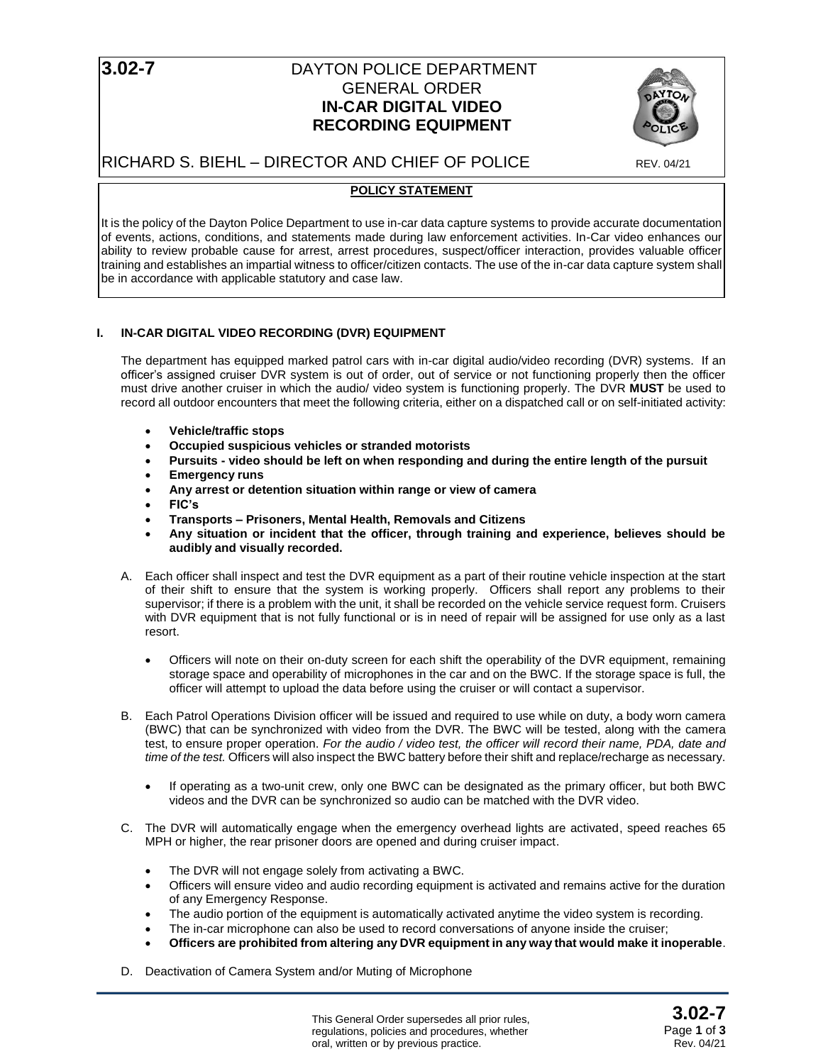## **3.02-7 DAYTON POLICE DEPARTMENT** GENERAL ORDER **IN-CAR DIGITAL VIDEO RECORDING EQUIPMENT**



# RICHARD S. BIEHL – DIRECTOR AND CHIEF OF POLICE REV. 04/21

## **POLICY STATEMENT**

It is the policy of the Dayton Police Department to use in-car data capture systems to provide accurate documentation of events, actions, conditions, and statements made during law enforcement activities. In-Car video enhances our ability to review probable cause for arrest, arrest procedures, suspect/officer interaction, provides valuable officer training and establishes an impartial witness to officer/citizen contacts. The use of the in-car data capture system shall be in accordance with applicable statutory and case law.

### **I. IN-CAR DIGITAL VIDEO RECORDING (DVR) EQUIPMENT**

The department has equipped marked patrol cars with in-car digital audio/video recording (DVR) systems. If an officer's assigned cruiser DVR system is out of order, out of service or not functioning properly then the officer must drive another cruiser in which the audio/ video system is functioning properly. The DVR **MUST** be used to record all outdoor encounters that meet the following criteria, either on a dispatched call or on self-initiated activity:

- **Vehicle/traffic stops**
- **Occupied suspicious vehicles or stranded motorists**
- **Pursuits video should be left on when responding and during the entire length of the pursuit**
- **Emergency runs**
- **Any arrest or detention situation within range or view of camera**
- **FIC's**
- **Transports Prisoners, Mental Health, Removals and Citizens**
- **Any situation or incident that the officer, through training and experience, believes should be audibly and visually recorded.**
- A. Each officer shall inspect and test the DVR equipment as a part of their routine vehicle inspection at the start of their shift to ensure that the system is working properly. Officers shall report any problems to their supervisor; if there is a problem with the unit, it shall be recorded on the vehicle service request form. Cruisers with DVR equipment that is not fully functional or is in need of repair will be assigned for use only as a last resort.
	- Officers will note on their on-duty screen for each shift the operability of the DVR equipment, remaining storage space and operability of microphones in the car and on the BWC. If the storage space is full, the officer will attempt to upload the data before using the cruiser or will contact a supervisor.
- B. Each Patrol Operations Division officer will be issued and required to use while on duty, a body worn camera (BWC) that can be synchronized with video from the DVR. The BWC will be tested, along with the camera test, to ensure proper operation. *For the audio / video test, the officer will record their name, PDA, date and time of the test.* Officers will also inspect the BWC battery before their shift and replace/recharge as necessary.
	- If operating as a two-unit crew, only one BWC can be designated as the primary officer, but both BWC videos and the DVR can be synchronized so audio can be matched with the DVR video.
- C. The DVR will automatically engage when the emergency overhead lights are activated, speed reaches 65 MPH or higher, the rear prisoner doors are opened and during cruiser impact.
	- The DVR will not engage solely from activating a BWC.
	- Officers will ensure video and audio recording equipment is activated and remains active for the duration of any Emergency Response.
	- The audio portion of the equipment is automatically activated anytime the video system is recording.
	- The in-car microphone can also be used to record conversations of anyone inside the cruiser;
	- **Officers are prohibited from altering any DVR equipment in any way that would make it inoperable**.
- D. Deactivation of Camera System and/or Muting of Microphone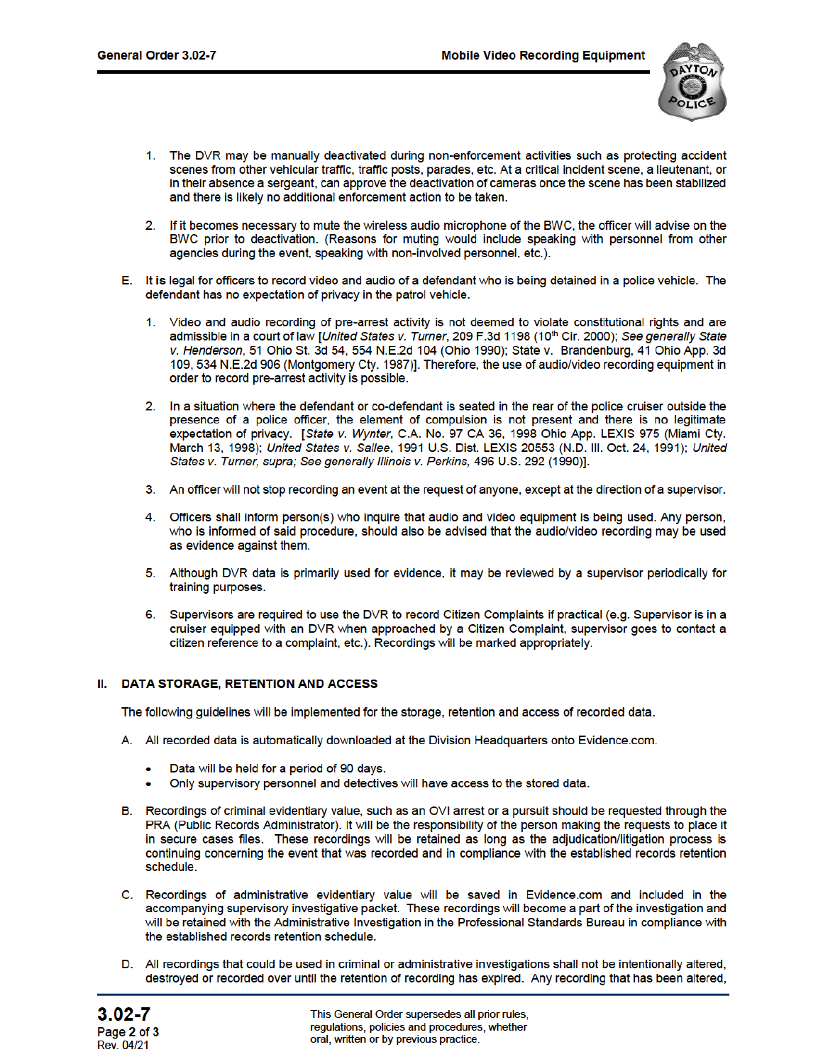

- 1. The DVR may be manually deactivated during non-enforcement activities such as protecting accident scenes from other vehicular traffic, traffic posts, parades, etc. At a critical incident scene, a lieutenant, or in their absence a sergeant, can approve the deactivation of cameras once the scene has been stabilized and there is likely no additional enforcement action to be taken.
- If it becomes necessary to mute the wireless audio microphone of the BWC, the officer will advise on the  $2.$ BWC prior to deactivation. (Reasons for muting would include speaking with personnel from other agencies during the event, speaking with non-involved personnel, etc.).
- E. It is legal for officers to record video and audio of a defendant who is being detained in a police vehicle. The defendant has no expectation of privacy in the patrol vehicle.
	- 1. Video and audio recording of pre-arrest activity is not deemed to violate constitutional rights and are admissible in a court of law [United States v. Turner, 209 F.3d 1198 (10<sup>th</sup> Cir. 2000); See generally State v. Henderson, 51 Ohio St. 3d 54, 554 N.E.2d 104 (Ohio 1990); State v. Brandenburg, 41 Ohio App. 3d 109, 534 N.E.2d 906 (Montgomery Cty. 1987)]. Therefore, the use of audio/video recording equipment in order to record pre-arrest activity is possible.
	- 2. In a situation where the defendant or co-defendant is seated in the rear of the police cruiser outside the presence of a police officer, the element of compulsion is not present and there is no legitimate expectation of privacy. [State v. Wynter, C.A. No. 97 CA 36, 1998 Ohio App. LEXIS 975 (Miami Cty. March 13, 1998); United States v. Sallee, 1991 U.S. Dist. LEXIS 20553 (N.D. III. Oct. 24, 1991); United States v. Turner, supra; See generally Illinois v. Perkins, 496 U.S. 292 (1990)].
	- 3. An officer will not stop recording an event at the request of anyone, except at the direction of a supervisor.
	- 4. Officers shall inform person(s) who inquire that audio and video equipment is being used. Any person, who is informed of said procedure, should also be advised that the audio/video recording may be used as evidence against them.
	- 5. Although DVR data is primarily used for evidence, it may be reviewed by a supervisor periodically for training purposes.
	- 6. Supervisors are required to use the DVR to record Citizen Complaints if practical (e.g. Supervisor is in a cruiser equipped with an DVR when approached by a Citizen Complaint, supervisor goes to contact a citizen reference to a complaint, etc.). Recordings will be marked appropriately.

### II. DATA STORAGE, RETENTION AND ACCESS

The following guidelines will be implemented for the storage, retention and access of recorded data.

- A. All recorded data is automatically downloaded at the Division Headquarters onto Evidence.com.
	- Data will be held for a period of 90 days.
	- Only supervisory personnel and detectives will have access to the stored data.
- B. Recordings of criminal evidentiary value, such as an OVI arrest or a pursuit should be requested through the PRA (Public Records Administrator). It will be the responsibility of the person making the requests to place it in secure cases files. These recordings will be retained as long as the adjudication/litigation process is continuing concerning the event that was recorded and in compliance with the established records retention schedule.
- C. Recordings of administrative evidentiary value will be saved in Evidence.com and included in the accompanying supervisory investigative packet. These recordings will become a part of the investigation and will be retained with the Administrative Investigation in the Professional Standards Bureau in compliance with the established records retention schedule.
- D. All recordings that could be used in criminal or administrative investigations shall not be intentionally altered, destroyed or recorded over until the retention of recording has expired. Any recording that has been altered,